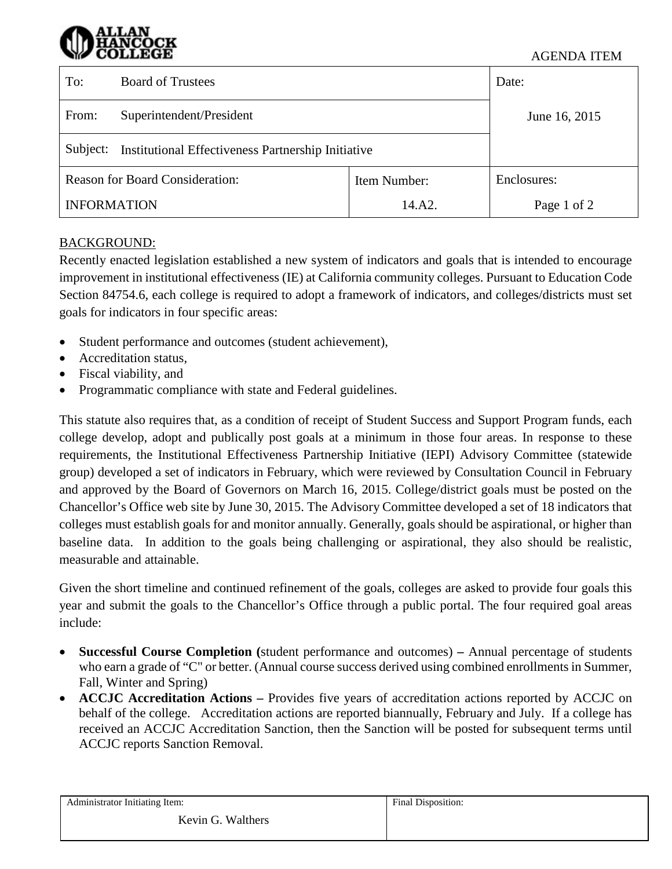#### AGENDA ITEM

| To:                                    | <b>Board of Trustees</b>                                  | Date:         |             |
|----------------------------------------|-----------------------------------------------------------|---------------|-------------|
| From:                                  | Superintendent/President                                  | June 16, 2015 |             |
| Subject:                               | <b>Institutional Effectiveness Partnership Initiative</b> |               |             |
| <b>Reason for Board Consideration:</b> |                                                           | Item Number:  | Enclosures: |
| <b>INFORMATION</b>                     |                                                           | 14.A2.        | Page 1 of 2 |

## BACKGROUND:

Recently enacted legislation established a new system of indicators and goals that is intended to encourage improvement in institutional effectiveness (IE) at California community colleges. Pursuant to Education Code Section 84754.6, each college is required to adopt a framework of indicators, and colleges/districts must set goals for indicators in four specific areas:

- Student performance and outcomes (student achievement),
- Accreditation status,
- Fiscal viability, and
- Programmatic compliance with state and Federal guidelines.

This statute also requires that, as a condition of receipt of Student Success and Support Program funds, each college develop, adopt and publically post goals at a minimum in those four areas. In response to these requirements, the Institutional Effectiveness Partnership Initiative (IEPI) Advisory Committee (statewide group) developed a set of indicators in February, which were reviewed by Consultation Council in February and approved by the Board of Governors on March 16, 2015. College/district goals must be posted on the Chancellor's Office web site by June 30, 2015. The Advisory Committee developed a set of 18 indicators that colleges must establish goals for and monitor annually. Generally, goals should be aspirational, or higher than baseline data. In addition to the goals being challenging or aspirational, they also should be realistic, measurable and attainable.

Given the short timeline and continued refinement of the goals, colleges are asked to provide four goals this year and submit the goals to the Chancellor's Office through a public portal. The four required goal areas include:

- **Successful Course Completion (**student performance and outcomes) **–** Annual percentage of students who earn a grade of "C" or better. (Annual course success derived using combined enrollments in Summer, Fall, Winter and Spring)
- **ACCJC Accreditation Actions –** Provides five years of accreditation actions reported by ACCJC on behalf of the college. Accreditation actions are reported biannually, February and July. If a college has received an ACCJC Accreditation Sanction, then the Sanction will be posted for subsequent terms until ACCJC reports Sanction Removal.

| Administrator Initiating Item: | Final Disposition: |
|--------------------------------|--------------------|
| Kevin G. Walthers              |                    |